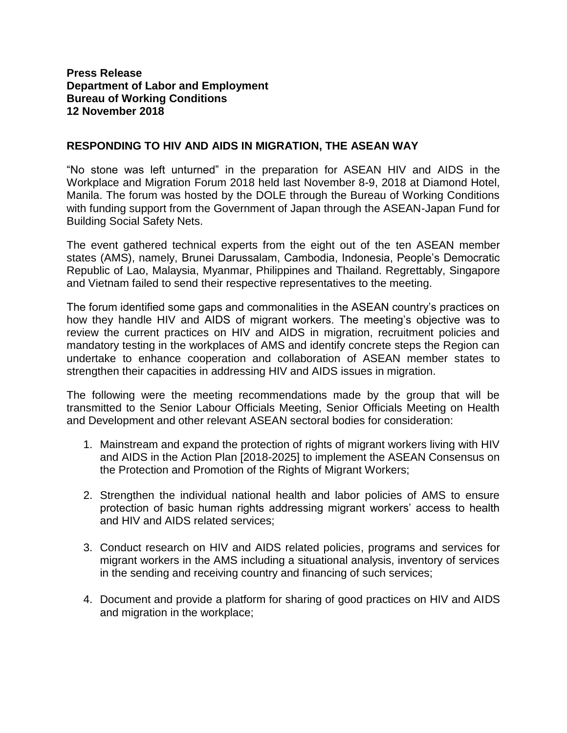## **Press Release Department of Labor and Employment Bureau of Working Conditions 12 November 2018**

## **RESPONDING TO HIV AND AIDS IN MIGRATION, THE ASEAN WAY**

"No stone was left unturned" in the preparation for ASEAN HIV and AIDS in the Workplace and Migration Forum 2018 held last November 8-9, 2018 at Diamond Hotel, Manila. The forum was hosted by the DOLE through the Bureau of Working Conditions with funding support from the Government of Japan through the ASEAN-Japan Fund for Building Social Safety Nets.

The event gathered technical experts from the eight out of the ten ASEAN member states (AMS), namely, Brunei Darussalam, Cambodia, Indonesia, People's Democratic Republic of Lao, Malaysia, Myanmar, Philippines and Thailand. Regrettably, Singapore and Vietnam failed to send their respective representatives to the meeting.

The forum identified some gaps and commonalities in the ASEAN country's practices on how they handle HIV and AIDS of migrant workers. The meeting's objective was to review the current practices on HIV and AIDS in migration, recruitment policies and mandatory testing in the workplaces of AMS and identify concrete steps the Region can undertake to enhance cooperation and collaboration of ASEAN member states to strengthen their capacities in addressing HIV and AIDS issues in migration.

The following were the meeting recommendations made by the group that will be transmitted to the Senior Labour Officials Meeting, Senior Officials Meeting on Health and Development and other relevant ASEAN sectoral bodies for consideration:

- 1. Mainstream and expand the protection of rights of migrant workers living with HIV and AIDS in the Action Plan [2018-2025] to implement the ASEAN Consensus on the Protection and Promotion of the Rights of Migrant Workers;
- 2. Strengthen the individual national health and labor policies of AMS to ensure protection of basic human rights addressing migrant workers' access to health and HIV and AIDS related services;
- 3. Conduct research on HIV and AIDS related policies, programs and services for migrant workers in the AMS including a situational analysis, inventory of services in the sending and receiving country and financing of such services;
- 4. Document and provide a platform for sharing of good practices on HIV and AIDS and migration in the workplace;